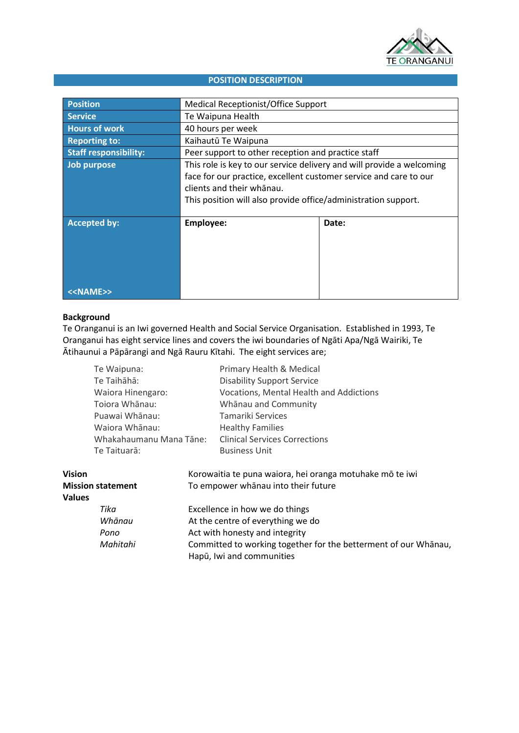

# **POSITION DESCRIPTION**

| <b>Position</b>              | Medical Receptionist/Office Support                                                                                                                                                                                                       |       |  |
|------------------------------|-------------------------------------------------------------------------------------------------------------------------------------------------------------------------------------------------------------------------------------------|-------|--|
| <b>Service</b>               | Te Waipuna Health                                                                                                                                                                                                                         |       |  |
| <b>Hours of work</b>         | 40 hours per week                                                                                                                                                                                                                         |       |  |
| <b>Reporting to:</b>         | Kaihautū Te Waipuna                                                                                                                                                                                                                       |       |  |
| <b>Staff responsibility:</b> | Peer support to other reception and practice staff                                                                                                                                                                                        |       |  |
| Job purpose                  | This role is key to our service delivery and will provide a welcoming<br>face for our practice, excellent customer service and care to our<br>clients and their whanau.<br>This position will also provide office/administration support. |       |  |
| <b>Accepted by:</b>          | Employee:                                                                                                                                                                                                                                 | Date: |  |
| < <name>&gt;</name>          |                                                                                                                                                                                                                                           |       |  |

### **Background**

Te Oranganui is an Iwi governed Health and Social Service Organisation. Established in 1993, Te Oranganui has eight service lines and covers the iwi boundaries of Ngāti Apa/Ngā Wairiki, Te Ātihaunui a Pāpārangi and Ngā Rauru Kītahi. The eight services are;

|                          | Te Waipuna:                                                                                        |                                   | Primary Health & Medical                                 |  |
|--------------------------|----------------------------------------------------------------------------------------------------|-----------------------------------|----------------------------------------------------------|--|
|                          | Te Taihāhā:                                                                                        |                                   | <b>Disability Support Service</b>                        |  |
|                          | Waiora Hinengaro:<br>Tojora Whānau:<br>Puawai Whānau:<br>Waiora Whānau:<br>Whakahaumanu Mana Tāne: |                                   | Vocations, Mental Health and Addictions                  |  |
|                          |                                                                                                    |                                   | Whānau and Community                                     |  |
|                          |                                                                                                    |                                   | Tamariki Services                                        |  |
|                          |                                                                                                    |                                   | <b>Healthy Families</b>                                  |  |
|                          |                                                                                                    |                                   | <b>Clinical Services Corrections</b>                     |  |
|                          | Te Taituarā:                                                                                       |                                   | <b>Business Unit</b>                                     |  |
| <b>Vision</b>            |                                                                                                    |                                   | Korowaitia te puna waiora, hei oranga motuhake mō te iwi |  |
| <b>Mission statement</b> |                                                                                                    |                                   | To empower whanau into their future                      |  |
| <b>Values</b>            |                                                                                                    |                                   |                                                          |  |
|                          | Tika                                                                                               | Excellence in how we do things    |                                                          |  |
|                          | Whānau                                                                                             | At the centre of everything we do |                                                          |  |
|                          | Pono                                                                                               | Act with honesty and integrity    |                                                          |  |

Hapū, Iwi and communities

*Mahitahi* Committed to working together for the betterment of our Whānau,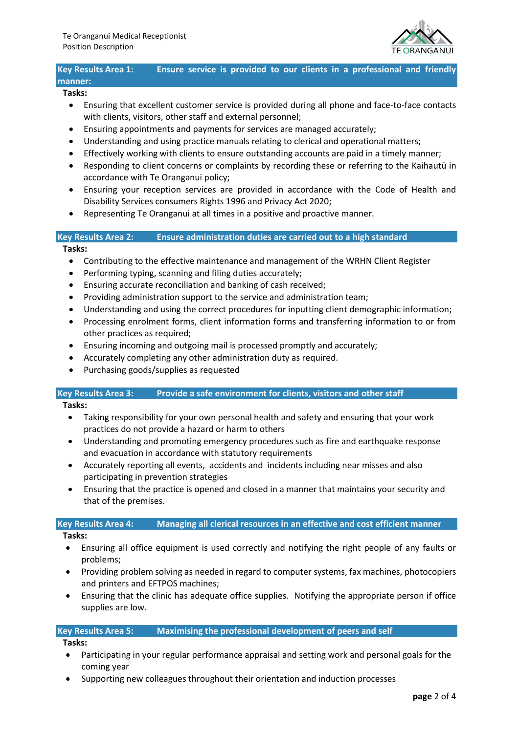

# **Key Results Area 1: Ensure service is provided to our clients in a professional and friendly manner:**

### **Tasks:**

- Ensuring that excellent customer service is provided during all phone and face-to-face contacts with clients, visitors, other staff and external personnel;
- Ensuring appointments and payments for services are managed accurately;
- Understanding and using practice manuals relating to clerical and operational matters;
- Effectively working with clients to ensure outstanding accounts are paid in a timely manner;
- Responding to client concerns or complaints by recording these or referring to the Kaihautū in accordance with Te Oranganui policy;
- Ensuring your reception services are provided in accordance with the Code of Health and Disability Services consumers Rights 1996 and Privacy Act 2020;
- Representing Te Oranganui at all times in a positive and proactive manner.

### **Key Results Area 2: Ensure administration duties are carried out to a high standard**

### **Tasks:**

- Contributing to the effective maintenance and management of the WRHN Client Register
- Performing typing, scanning and filing duties accurately;
- Ensuring accurate reconciliation and banking of cash received;
- Providing administration support to the service and administration team;
- Understanding and using the correct procedures for inputting client demographic information;
- Processing enrolment forms, client information forms and transferring information to or from other practices as required;
- Ensuring incoming and outgoing mail is processed promptly and accurately;
- Accurately completing any other administration duty as required.
- Purchasing goods/supplies as requested

# **Key Results Area 3: Provide a safe environment for clients, visitors and other staff**

**Tasks:**

- Taking responsibility for your own personal health and safety and ensuring that your work practices do not provide a hazard or harm to others
- Understanding and promoting emergency procedures such as fire and earthquake response and evacuation in accordance with statutory requirements
- Accurately reporting all events, accidents and incidents including near misses and also participating in prevention strategies
- Ensuring that the practice is opened and closed in a manner that maintains your security and that of the premises.

# **Key Results Area 4: Managing all clerical resources in an effective and cost efficient manner**

- **Tasks:**
- Ensuring all office equipment is used correctly and notifying the right people of any faults or problems;
- Providing problem solving as needed in regard to computer systems, fax machines, photocopiers and printers and EFTPOS machines;
- Ensuring that the clinic has adequate office supplies. Notifying the appropriate person if office supplies are low.

# **Key Results Area 5: Maximising the professional development of peers and self**

**Tasks:**

- Participating in your regular performance appraisal and setting work and personal goals for the coming year
- Supporting new colleagues throughout their orientation and induction processes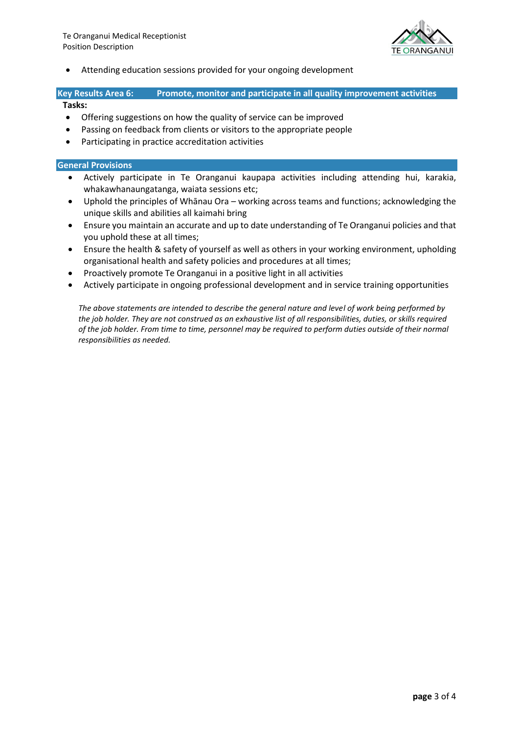

• Attending education sessions provided for your ongoing development

# **Key Results Area 6: Promote, monitor and participate in all quality improvement activities**

### **Tasks:**

- Offering suggestions on how the quality of service can be improved
- Passing on feedback from clients or visitors to the appropriate people
- Participating in practice accreditation activities

# **General Provisions**

- Actively participate in Te Oranganui kaupapa activities including attending hui, karakia, whakawhanaungatanga, waiata sessions etc;
- Uphold the principles of Whānau Ora working across teams and functions; acknowledging the unique skills and abilities all kaimahi bring
- Ensure you maintain an accurate and up to date understanding of Te Oranganui policies and that you uphold these at all times;
- Ensure the health & safety of yourself as well as others in your working environment, upholding organisational health and safety policies and procedures at all times;
- Proactively promote Te Oranganui in a positive light in all activities
- Actively participate in ongoing professional development and in service training opportunities

*The above statements are intended to describe the general nature and level of work being performed by the job holder. They are not construed as an exhaustive list of all responsibilities, duties, or skills required of the job holder. From time to time, personnel may be required to perform duties outside of their normal responsibilities as needed.*